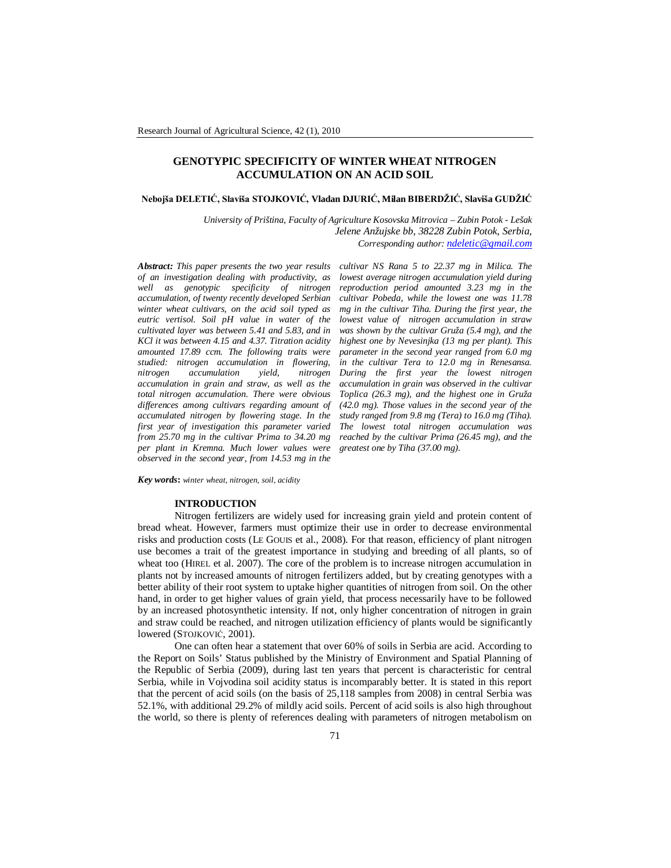# **GENOTYPIC SPECIFICITY OF WINTER WHEAT NITROGEN ACCUMULATION ON AN ACID SOIL**

### **Nebojša DELETIĆ, Slaviša STOJKOVIĆ, Vladan DJURIĆ, Milan BIBERDŽIĆ, Slaviša GUDŽIĆ**

*University of Priština, Faculty of Agriculture Kosovska Mitrovica – Zubin Potok - Lešak Jelene Anžujske bb, 38228 Zubin Potok, Serbia, Corresponding author: ndeletic@gmail.com*

*Abstract: This paper presents the two year results of an investigation dealing with productivity, as well as genotypic specificity of nitrogen accumulation, of twenty recently developed Serbian winter wheat cultivars, on the acid soil typed as eutric vertisol. Soil pH value in water of the cultivated layer was between 5.41 and 5.83, and in KCl it was between 4.15 and 4.37. Titration acidity amounted 17.89 ccm. The following traits were studied: nitrogen accumulation in flowering, nitrogen accumulation yield, nitrogen accumulation in grain and straw, as well as the total nitrogen accumulation. There were obvious differences among cultivars regarding amount of accumulated nitrogen by flowering stage. In the first year of investigation this parameter varied from 25.70 mg in the cultivar Prima to 34.20 mg per plant in Kremna. Much lower values were observed in the second year, from 14.53 mg in the* 

*cultivar NS Rana 5 to 22.37 mg in Milica. The lowest average nitrogen accumulation yield during reproduction period amounted 3.23 mg in the cultivar Pobeda, while the lowest one was 11.78 mg in the cultivar Tiha. During the first year, the lowest value of nitrogen accumulation in straw was shown by the cultivar Gruža (5.4 mg), and the highest one by Nevesinjka (13 mg per plant). This parameter in the second year ranged from 6.0 mg in the cultivar Tera to 12.0 mg in Renesansa. During the first year the lowest nitrogen accumulation in grain was observed in the cultivar Toplica (26.3 mg), and the highest one in Gruža (42.0 mg). Those values in the second year of the study ranged from 9.8 mg (Tera) to 16.0 mg (Tiha). The lowest total nitrogen accumulation was reached by the cultivar Prima (26.45 mg), and the greatest one by Tiha (37.00 mg).*

*Key words***:** *winter wheat, nitrogen, soil, acidity*

#### **INTRODUCTION**

Nitrogen fertilizers are widely used for increasing grain yield and protein content of bread wheat. However, farmers must optimize their use in order to decrease environmental risks and production costs (LE GOUIS et al., 2008). For that reason, efficiency of plant nitrogen use becomes a trait of the greatest importance in studying and breeding of all plants, so of wheat too (HIREL et al. 2007). The core of the problem is to increase nitrogen accumulation in plants not by increased amounts of nitrogen fertilizers added, but by creating genotypes with a better ability of their root system to uptake higher quantities of nitrogen from soil. On the other hand, in order to get higher values of grain yield, that process necessarily have to be followed by an increased photosynthetic intensity. If not, only higher concentration of nitrogen in grain and straw could be reached, and nitrogen utilization efficiency of plants would be significantly lowered (STOJKOVIĆ, 2001).

One can often hear a statement that over 60% of soils in Serbia are acid. According to the Report on Soils' Status published by the Ministry of Environment and Spatial Planning of the Republic of Serbia (2009), during last ten years that percent is characteristic for central Serbia, while in Vojvodina soil acidity status is incomparably better. It is stated in this report that the percent of acid soils (on the basis of 25,118 samples from 2008) in central Serbia was 52.1%, with additional 29.2% of mildly acid soils. Percent of acid soils is also high throughout the world, so there is plenty of references dealing with parameters of nitrogen metabolism on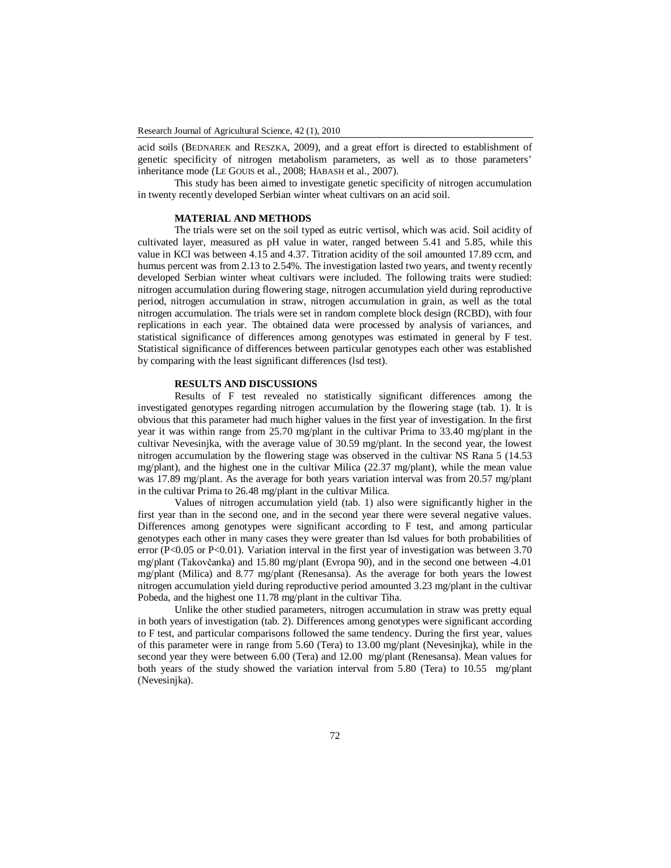acid soils (BEDNAREK and RESZKA, 2009), and a great effort is directed to establishment of genetic specificity of nitrogen metabolism parameters, as well as to those parameters' inheritance mode (LE GOUIS et al., 2008; HABASH et al., 2007).

This study has been aimed to investigate genetic specificity of nitrogen accumulation in twenty recently developed Serbian winter wheat cultivars on an acid soil.

## **MATERIAL AND METHODS**

The trials were set on the soil typed as eutric vertisol, which was acid. Soil acidity of cultivated layer, measured as pH value in water, ranged between 5.41 and 5.85, while this value in KCl was between 4.15 and 4.37. Titration acidity of the soil amounted 17.89 ccm, and humus percent was from 2.13 to 2.54%. The investigation lasted two years, and twenty recently developed Serbian winter wheat cultivars were included. The following traits were studied: nitrogen accumulation during flowering stage, nitrogen accumulation yield during reproductive period, nitrogen accumulation in straw, nitrogen accumulation in grain, as well as the total nitrogen accumulation. The trials were set in random complete block design (RCBD), with four replications in each year. The obtained data were processed by analysis of variances, and statistical significance of differences among genotypes was estimated in general by F test. Statistical significance of differences between particular genotypes each other was established by comparing with the least significant differences (lsd test).

### **RESULTS AND DISCUSSIONS**

Results of F test revealed no statistically significant differences among the investigated genotypes regarding nitrogen accumulation by the flowering stage (tab. 1). It is obvious that this parameter had much higher values in the first year of investigation. In the first year it was within range from 25.70 mg/plant in the cultivar Prima to 33.40 mg/plant in the cultivar Nevesinjka, with the average value of 30.59 mg/plant. In the second year, the lowest nitrogen accumulation by the flowering stage was observed in the cultivar NS Rana 5 (14.53 mg/plant), and the highest one in the cultivar Milica (22.37 mg/plant), while the mean value was 17.89 mg/plant. As the average for both years variation interval was from 20.57 mg/plant in the cultivar Prima to 26.48 mg/plant in the cultivar Milica.

Values of nitrogen accumulation yield (tab. 1) also were significantly higher in the first year than in the second one, and in the second year there were several negative values. Differences among genotypes were significant according to F test, and among particular genotypes each other in many cases they were greater than lsd values for both probabilities of error (P<0.05 or P<0.01). Variation interval in the first year of investigation was between  $3.70$ mg/plant (Takovčanka) and 15.80 mg/plant (Evropa 90), and in the second one between -4.01 mg/plant (Milica) and 8.77 mg/plant (Renesansa). As the average for both years the lowest nitrogen accumulation yield during reproductive period amounted 3.23 mg/plant in the cultivar Pobeda, and the highest one 11.78 mg/plant in the cultivar Tiha.

Unlike the other studied parameters, nitrogen accumulation in straw was pretty equal in both years of investigation (tab. 2). Differences among genotypes were significant according to F test, and particular comparisons followed the same tendency. During the first year, values of this parameter were in range from 5.60 (Tera) to 13.00 mg/plant (Nevesinjka), while in the second year they were between 6.00 (Tera) and 12.00 mg/plant (Renesansa). Mean values for both years of the study showed the variation interval from 5.80 (Tera) to 10.55 mg/plant (Nevesinjka).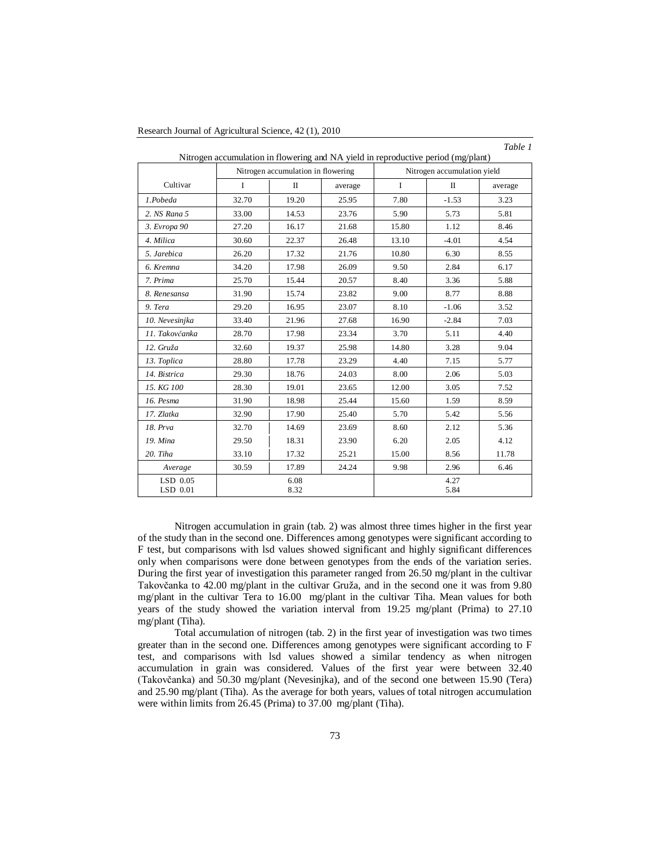| Cultivar               |             | Nitrogen accumulation in flowering |         | Nitrogen accumulation yield |              |         |  |
|------------------------|-------------|------------------------------------|---------|-----------------------------|--------------|---------|--|
|                        | $\mathbf I$ | $\mathbf{I}$                       | average | $\mathbf I$                 | $\mathbf{I}$ | average |  |
| 1.Pobeda               | 32.70       | 19.20                              | 25.95   | 7.80                        | $-1.53$      | 3.23    |  |
| 2. NS Rana 5           | 33.00       | 14.53                              | 23.76   | 5.90                        | 5.73         | 5.81    |  |
| 3. Evropa 90           | 27.20       | 16.17                              | 21.68   | 15.80                       | 1.12         | 8.46    |  |
| 4. Milica              | 30.60       | 22.37                              | 26.48   | 13.10                       | $-4.01$      | 4.54    |  |
| 5. Jarebica            | 26.20       | 17.32                              | 21.76   | 10.80                       | 6.30         | 8.55    |  |
| 6. Kremna              | 34.20       | 17.98                              | 26.09   | 9.50                        | 2.84         | 6.17    |  |
| 7. Prima               | 25.70       | 15.44                              | 20.57   | 8.40                        | 3.36         | 5.88    |  |
| 8. Renesansa           | 31.90       | 15.74                              | 23.82   | 9.00                        | 8.77         | 8.88    |  |
| 9. Tera                | 29.20       | 16.95                              | 23.07   | 8.10                        | $-1.06$      | 3.52    |  |
| 10. Nevesinjka         | 33.40       | 21.96                              | 27.68   | 16.90                       | $-2.84$      | 7.03    |  |
| 11. Takovčanka         | 28.70       | 17.98                              | 23.34   | 3.70                        | 5.11         | 4.40    |  |
| 12. Gruža              | 32.60       | 19.37                              | 25.98   | 14.80                       | 3.28         | 9.04    |  |
| 13. Toplica            | 28.80       | 17.78                              | 23.29   | 4.40                        | 7.15         | 5.77    |  |
| 14. Bistrica           | 29.30       | 18.76                              | 24.03   | 8.00                        | 2.06         | 5.03    |  |
| 15. KG 100             | 28.30       | 19.01                              | 23.65   | 12.00                       | 3.05         | 7.52    |  |
| 16. Pesma              | 31.90       | 18.98                              | 25.44   | 15.60                       | 1.59         | 8.59    |  |
| 17. Zlatka             | 32.90       | 17.90                              | 25.40   | 5.70                        | 5.42         | 5.56    |  |
| 18. Prva               | 32.70       | 14.69                              | 23.69   | 8.60                        | 2.12         | 5.36    |  |
| 19. Mina               | 29.50       | 18.31                              | 23.90   | 6.20                        | 2.05         | 4.12    |  |
| 20. Tiha               | 33.10       | 17.32                              | 25.21   | 15.00                       | 8.56         | 11.78   |  |
| Average                | 30.59       | 17.89                              | 24.24   | 9.98                        | 2.96         | 6.46    |  |
| $LSD$ 0.05<br>LSD 0.01 |             | 6.08<br>8.32                       |         |                             | 4.27<br>5.84 |         |  |

Research Journal of Agricultural Science, 42 (1), 2010

Nitrogen accumulation in grain (tab. 2) was almost three times higher in the first year of the study than in the second one. Differences among genotypes were significant according to F test, but comparisons with lsd values showed significant and highly significant differences only when comparisons were done between genotypes from the ends of the variation series. During the first year of investigation this parameter ranged from 26.50 mg/plant in the cultivar Takovčanka to 42.00 mg/plant in the cultivar Gruža, and in the second one it was from 9.80 mg/plant in the cultivar Tera to 16.00 mg/plant in the cultivar Tiha. Mean values for both years of the study showed the variation interval from 19.25 mg/plant (Prima) to 27.10 mg/plant (Tiha).

Total accumulation of nitrogen (tab. 2) in the first year of investigation was two times greater than in the second one. Differences among genotypes were significant according to F test, and comparisons with lsd values showed a similar tendency as when nitrogen accumulation in grain was considered. Values of the first year were between 32.40 (Takovčanka) and 50.30 mg/plant (Nevesinjka), and of the second one between 15.90 (Tera) and 25.90 mg/plant (Tiha). As the average for both years, values of total nitrogen accumulation were within limits from 26.45 (Prima) to 37.00 mg/plant (Tiha).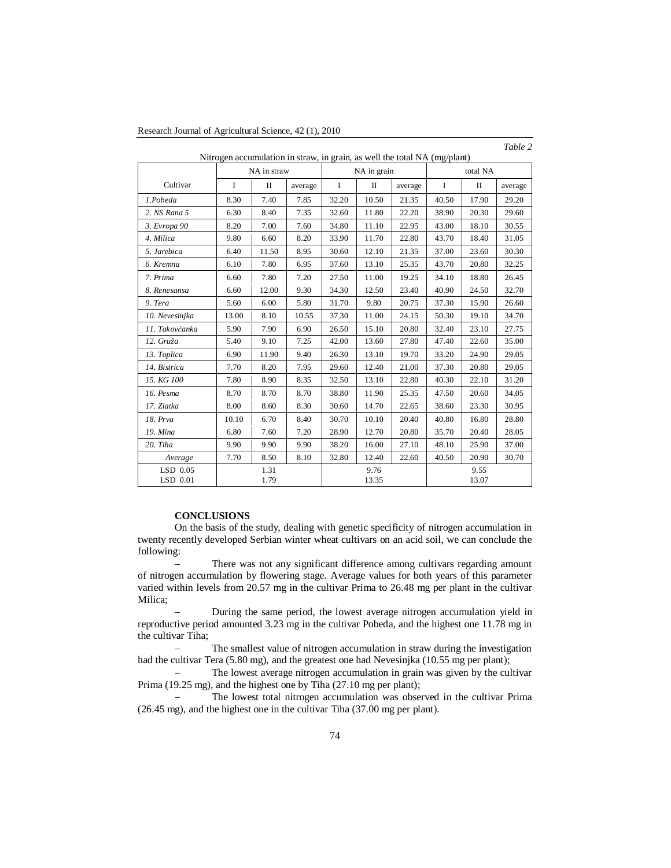| Research Journal of Agricultural Science, 42 (1), 2010 |
|--------------------------------------------------------|
|--------------------------------------------------------|

| Nitrogen accumulation in straw, in grain, as well the total NA (mg/plant) |              |       |         |               |       |         |               |       |         |  |  |
|---------------------------------------------------------------------------|--------------|-------|---------|---------------|-------|---------|---------------|-------|---------|--|--|
|                                                                           | NA in straw  |       |         | NA in grain   |       |         | total NA      |       |         |  |  |
| Cultivar                                                                  | Ι            | П     | average | $\mathbf I$   | П     | average | $\mathbf I$   | П     | average |  |  |
| 1.Pobeda                                                                  | 8.30         | 7.40  | 7.85    | 32.20         | 10.50 | 21.35   | 40.50         | 17.90 | 29.20   |  |  |
| 2. NS Rana 5                                                              | 6.30         | 8.40  | 7.35    | 32.60         | 11.80 | 22.20   | 38.90         | 20.30 | 29.60   |  |  |
| 3. Evropa 90                                                              | 8.20         | 7.00  | 7.60    | 34.80         | 11.10 | 22.95   | 43.00         | 18.10 | 30.55   |  |  |
| 4. Milica                                                                 | 9.80         | 6.60  | 8.20    | 33.90         | 11.70 | 22.80   | 43.70         | 18.40 | 31.05   |  |  |
| 5. Jarebica                                                               | 6.40         | 11.50 | 8.95    | 30.60         | 12.10 | 21.35   | 37.00         | 23.60 | 30.30   |  |  |
| 6. Kremna                                                                 | 6.10         | 7.80  | 6.95    | 37.60         | 13.10 | 25.35   | 43.70         | 20.80 | 32.25   |  |  |
| 7. Prima                                                                  | 6.60         | 7.80  | 7.20    | 27.50         | 11.00 | 19.25   | 34.10         | 18.80 | 26.45   |  |  |
| 8. Renesansa                                                              | 6.60         | 12.00 | 9.30    | 34.30         | 12.50 | 23.40   | 40.90         | 24.50 | 32.70   |  |  |
| 9. Tera                                                                   | 5.60         | 6.00  | 5.80    | 31.70         | 9.80  | 20.75   | 37.30         | 15.90 | 26.60   |  |  |
| 10. Nevesinjka                                                            | 13.00        | 8.10  | 10.55   | 37.30         | 11.00 | 24.15   | 50.30         | 19.10 | 34.70   |  |  |
| 11. Takovčanka                                                            | 5.90         | 7.90  | 6.90    | 26.50         | 15.10 | 20.80   | 32.40         | 23.10 | 27.75   |  |  |
| 12. Gruža                                                                 | 5.40         | 9.10  | 7.25    | 42.00         | 13.60 | 27.80   | 47.40         | 22.60 | 35.00   |  |  |
| 13. Toplica                                                               | 6.90         | 11.90 | 9.40    | 26.30         | 13.10 | 19.70   | 33.20         | 24.90 | 29.05   |  |  |
| 14. Bistrica                                                              | 7.70         | 8.20  | 7.95    | 29.60         | 12.40 | 21.00   | 37.30         | 20.80 | 29.05   |  |  |
| 15. KG 100                                                                | 7.80         | 8.90  | 8.35    | 32.50         | 13.10 | 22.80   | 40.30         | 22.10 | 31.20   |  |  |
| 16. Pesma                                                                 | 8.70         | 8.70  | 8.70    | 38.80         | 11.90 | 25.35   | 47.50         | 20.60 | 34.05   |  |  |
| 17. Zlatka                                                                | 8.00         | 8.60  | 8.30    | 30.60         | 14.70 | 22.65   | 38.60         | 23.30 | 30.95   |  |  |
| 18. Prva                                                                  | 10.10        | 6.70  | 8.40    | 30.70         | 10.10 | 20.40   | 40.80         | 16.80 | 28.80   |  |  |
| 19. Mina                                                                  | 6.80         | 7.60  | 7.20    | 28.90         | 12.70 | 20.80   | 35.70         | 20.40 | 28.05   |  |  |
| 20. Tiha                                                                  | 9.90         | 9.90  | 9.90    | 38.20         | 16.00 | 27.10   | 48.10         | 25.90 | 37.00   |  |  |
| Average                                                                   | 7.70         | 8.50  | 8.10    | 32.80         | 12.40 | 22.60   | 40.50         | 20.90 | 30.70   |  |  |
| $LSD$ 0.05<br>$LSD$ 0.01                                                  | 1.31<br>1.79 |       |         | 9.76<br>13.35 |       |         | 9.55<br>13.07 |       |         |  |  |

*Table 2*

## **CONCLUSIONS**

On the basis of the study, dealing with genetic specificity of nitrogen accumulation in twenty recently developed Serbian winter wheat cultivars on an acid soil, we can conclude the following:

 There was not any significant difference among cultivars regarding amount of nitrogen accumulation by flowering stage. Average values for both years of this parameter varied within levels from 20.57 mg in the cultivar Prima to 26.48 mg per plant in the cultivar Milica;

 During the same period, the lowest average nitrogen accumulation yield in reproductive period amounted 3.23 mg in the cultivar Pobeda, and the highest one 11.78 mg in the cultivar Tiha;

 The smallest value of nitrogen accumulation in straw during the investigation had the cultivar Tera (5.80 mg), and the greatest one had Nevesinjka (10.55 mg per plant);

 The lowest average nitrogen accumulation in grain was given by the cultivar Prima (19.25 mg), and the highest one by Tiha (27.10 mg per plant);

 The lowest total nitrogen accumulation was observed in the cultivar Prima (26.45 mg), and the highest one in the cultivar Tiha (37.00 mg per plant).